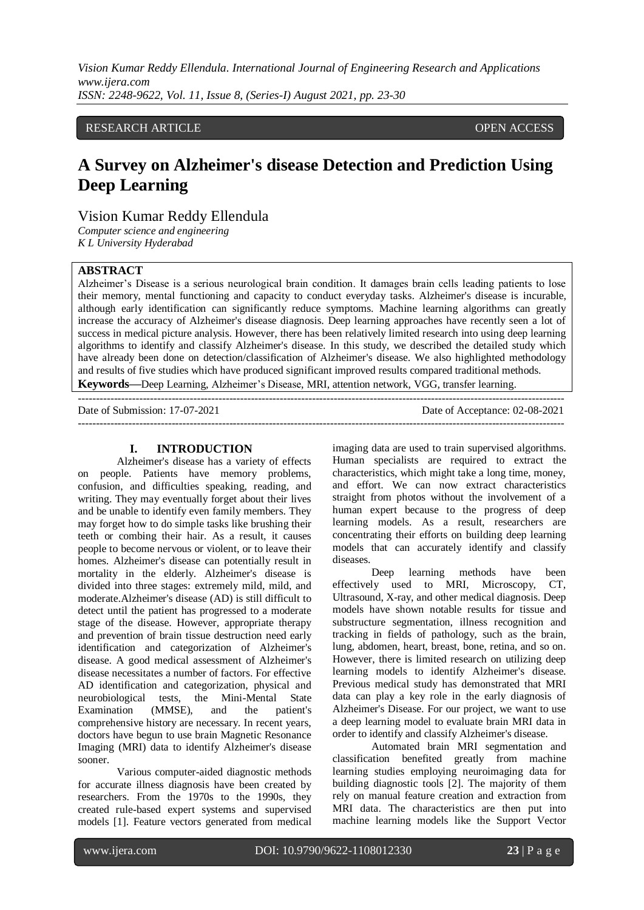*Vision Kumar Reddy Ellendula. International Journal of Engineering Research and Applications www.ijera.com ISSN: 2248-9622, Vol. 11, Issue 8, (Series-I) August 2021, pp. 23-30*

## RESEARCH ARTICLE **CONSERVERS** OPEN ACCESS

# **A Survey on Alzheimer's disease Detection and Prediction Using Deep Learning**

Vision Kumar Reddy Ellendula

*Computer science and engineering K L University Hyderabad*

## **ABSTRACT**

Alzheimer's Disease is a serious neurological brain condition. It damages brain cells leading patients to lose their memory, mental functioning and capacity to conduct everyday tasks. Alzheimer's disease is incurable, although early identification can significantly reduce symptoms. Machine learning algorithms can greatly increase the accuracy of Alzheimer's disease diagnosis. Deep learning approaches have recently seen a lot of success in medical picture analysis. However, there has been relatively limited research into using deep learning algorithms to identify and classify Alzheimer's disease. In this study, we described the detailed study which have already been done on detection/classification of Alzheimer's disease. We also highlighted methodology and results of five studies which have produced significant improved results compared traditional methods. **Keywords—**Deep Learning, Alzheimer's Disease, MRI, attention network, VGG, transfer learning.

---------------------------------------------------------------------------------------------------------------------------------------

Date of Submission: 17-07-2021 Date of Acceptance: 02-08-2021 ---------------------------------------------------------------------------------------------------------------------------------------

## **I. INTRODUCTION**

Alzheimer's disease has a variety of effects on people. Patients have memory problems, confusion, and difficulties speaking, reading, and writing. They may eventually forget about their lives and be unable to identify even family members. They may forget how to do simple tasks like brushing their teeth or combing their hair. As a result, it causes people to become nervous or violent, or to leave their homes. Alzheimer's disease can potentially result in mortality in the elderly. Alzheimer's disease is divided into three stages: extremely mild, mild, and moderate.Alzheimer's disease (AD) is still difficult to detect until the patient has progressed to a moderate stage of the disease. However, appropriate therapy and prevention of brain tissue destruction need early identification and categorization of Alzheimer's disease. A good medical assessment of Alzheimer's disease necessitates a number of factors. For effective AD identification and categorization, physical and neurobiological tests, the Mini-Mental State Examination (MMSE), and the patient's comprehensive history are necessary. In recent years, doctors have begun to use brain Magnetic Resonance Imaging (MRI) data to identify Alzheimer's disease sooner.

Various computer-aided diagnostic methods for accurate illness diagnosis have been created by researchers. From the 1970s to the 1990s, they created rule-based expert systems and supervised models [1]. Feature vectors generated from medical imaging data are used to train supervised algorithms. Human specialists are required to extract the characteristics, which might take a long time, money, and effort. We can now extract characteristics straight from photos without the involvement of a human expert because to the progress of deep learning models. As a result, researchers are concentrating their efforts on building deep learning models that can accurately identify and classify diseases.

Deep learning methods have been effectively used to MRI, Microscopy, CT, Ultrasound, X-ray, and other medical diagnosis. Deep models have shown notable results for tissue and substructure segmentation, illness recognition and tracking in fields of pathology, such as the brain, lung, abdomen, heart, breast, bone, retina, and so on. However, there is limited research on utilizing deep learning models to identify Alzheimer's disease. Previous medical study has demonstrated that MRI data can play a key role in the early diagnosis of Alzheimer's Disease. For our project, we want to use a deep learning model to evaluate brain MRI data in order to identify and classify Alzheimer's disease.

Automated brain MRI segmentation and classification benefited greatly from machine learning studies employing neuroimaging data for building diagnostic tools [2]. The majority of them rely on manual feature creation and extraction from MRI data. The characteristics are then put into machine learning models like the Support Vector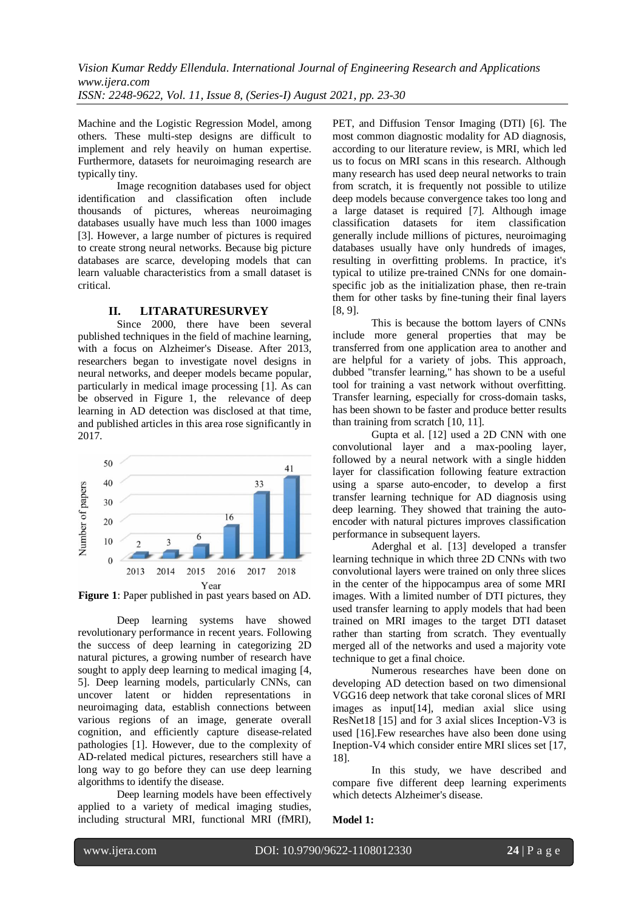Machine and the Logistic Regression Model, among others. These multi-step designs are difficult to implement and rely heavily on human expertise. Furthermore, datasets for neuroimaging research are typically tiny.

Image recognition databases used for object identification and classification often include thousands of pictures, whereas neuroimaging databases usually have much less than 1000 images [3]. However, a large number of pictures is required to create strong neural networks. Because big picture databases are scarce, developing models that can learn valuable characteristics from a small dataset is critical.

## **II. LITARATURESURVEY**

Since 2000, there have been several published techniques in the field of machine learning, with a focus on Alzheimer's Disease. After 2013, researchers began to investigate novel designs in neural networks, and deeper models became popular, particularly in medical image processing [1]. As can be observed in Figure 1, the relevance of deep learning in AD detection was disclosed at that time, and published articles in this area rose significantly in 2017.



**Figure 1**: Paper published in past years based on AD.

Deep learning systems have showed revolutionary performance in recent years. Following the success of deep learning in categorizing 2D natural pictures, a growing number of research have sought to apply deep learning to medical imaging [4, 5]. Deep learning models, particularly CNNs, can uncover latent or hidden representations in neuroimaging data, establish connections between various regions of an image, generate overall cognition, and efficiently capture disease-related pathologies [1]. However, due to the complexity of AD-related medical pictures, researchers still have a long way to go before they can use deep learning algorithms to identify the disease.

Deep learning models have been effectively applied to a variety of medical imaging studies, including structural MRI, functional MRI (fMRI),

PET, and Diffusion Tensor Imaging (DTI) [6]. The most common diagnostic modality for AD diagnosis, according to our literature review, is MRI, which led us to focus on MRI scans in this research. Although many research has used deep neural networks to train from scratch, it is frequently not possible to utilize deep models because convergence takes too long and a large dataset is required [7]. Although image classification datasets for item classification generally include millions of pictures, neuroimaging databases usually have only hundreds of images, resulting in overfitting problems. In practice, it's typical to utilize pre-trained CNNs for one domainspecific job as the initialization phase, then re-train them for other tasks by fine-tuning their final layers [8, 9].

This is because the bottom layers of CNNs include more general properties that may be transferred from one application area to another and are helpful for a variety of jobs. This approach, dubbed "transfer learning," has shown to be a useful tool for training a vast network without overfitting. Transfer learning, especially for cross-domain tasks, has been shown to be faster and produce better results than training from scratch [10, 11].

Gupta et al. [12] used a 2D CNN with one convolutional layer and a max-pooling layer, followed by a neural network with a single hidden layer for classification following feature extraction using a sparse auto-encoder, to develop a first transfer learning technique for AD diagnosis using deep learning. They showed that training the autoencoder with natural pictures improves classification performance in subsequent layers.

Aderghal et al. [13] developed a transfer learning technique in which three 2D CNNs with two convolutional layers were trained on only three slices in the center of the hippocampus area of some MRI images. With a limited number of DTI pictures, they used transfer learning to apply models that had been trained on MRI images to the target DTI dataset rather than starting from scratch. They eventually merged all of the networks and used a majority vote technique to get a final choice.

Numerous researches have been done on developing AD detection based on two dimensional VGG16 deep network that take coronal slices of MRI images as input[14], median axial slice using ResNet18 [15] and for 3 axial slices Inception-V3 is used [16].Few researches have also been done using Ineption-V4 which consider entire MRI slices set [17, 18].

In this study, we have described and compare five different deep learning experiments which detects Alzheimer's disease.

### **Model 1:**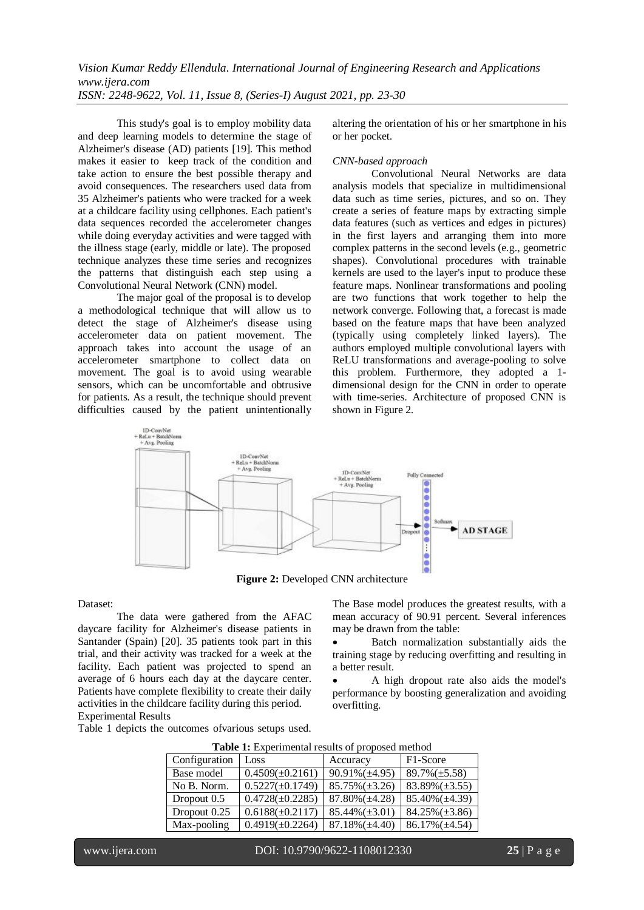*Vision Kumar Reddy Ellendula. International Journal of Engineering Research and Applications www.ijera.com ISSN: 2248-9622, Vol. 11, Issue 8, (Series-I) August 2021, pp. 23-30*

This study's goal is to employ mobility data and deep learning models to determine the stage of Alzheimer's disease (AD) patients [19]. This method makes it easier to keep track of the condition and take action to ensure the best possible therapy and avoid consequences. The researchers used data from 35 Alzheimer's patients who were tracked for a week at a childcare facility using cellphones. Each patient's data sequences recorded the accelerometer changes while doing everyday activities and were tagged with the illness stage (early, middle or late). The proposed technique analyzes these time series and recognizes the patterns that distinguish each step using a Convolutional Neural Network (CNN) model.

The major goal of the proposal is to develop a methodological technique that will allow us to detect the stage of Alzheimer's disease using accelerometer data on patient movement. The approach takes into account the usage of an accelerometer smartphone to collect data on movement. The goal is to avoid using wearable sensors, which can be uncomfortable and obtrusive for patients. As a result, the technique should prevent difficulties caused by the patient unintentionally

altering the orientation of his or her smartphone in his or her pocket.

#### *CNN-based approach*

Convolutional Neural Networks are data analysis models that specialize in multidimensional data such as time series, pictures, and so on. They create a series of feature maps by extracting simple data features (such as vertices and edges in pictures) in the first layers and arranging them into more complex patterns in the second levels (e.g., geometric shapes). Convolutional procedures with trainable kernels are used to the layer's input to produce these feature maps. Nonlinear transformations and pooling are two functions that work together to help the network converge. Following that, a forecast is made based on the feature maps that have been analyzed (typically using completely linked layers). The authors employed multiple convolutional layers with ReLU transformations and average-pooling to solve this problem. Furthermore, they adopted a 1 dimensional design for the CNN in order to operate with time-series. Architecture of proposed CNN is shown in Figure 2.



**Figure 2:** Developed CNN architecture

#### Dataset:

The data were gathered from the AFAC daycare facility for Alzheimer's disease patients in Santander (Spain) [20]. 35 patients took part in this trial, and their activity was tracked for a week at the facility. Each patient was projected to spend an average of 6 hours each day at the daycare center. Patients have complete flexibility to create their daily activities in the childcare facility during this period. Experimental Results

Table 1 depicts the outcomes ofvarious setups used.

The Base model produces the greatest results, with a mean accuracy of 90.91 percent. Several inferences may be drawn from the table:

 Batch normalization substantially aids the training stage by reducing overfitting and resulting in a better result.

 A high dropout rate also aids the model's performance by boosting generalization and avoiding overfitting.

| <b>Table 1:</b> Experimental results of proposed method |  |  |  |
|---------------------------------------------------------|--|--|--|
|---------------------------------------------------------|--|--|--|

| Configuration | Loss                 | Accuracy             | F <sub>1</sub> -Score |
|---------------|----------------------|----------------------|-----------------------|
| Base model    | $0.4509(\pm 0.2161)$ | $90.91\% (\pm 4.95)$ | $89.7\%(\pm 5.58)$    |
| No B. Norm.   | $0.5227(\pm 0.1749)$ | $85.75\%(\pm 3.26)$  | $83.89\%(\pm 3.55)$   |
| Dropout $0.5$ | $0.4728(\pm 0.2285)$ | $87.80\%(\pm 4.28)$  | $85.40\% (\pm 4.39)$  |
| Dropout 0.25  | $0.6188(\pm 0.2117)$ | $85.44\%(\pm 3.01)$  | $84.25\%(\pm 3.86)$   |
| Max-pooling   | $0.4919(\pm 0.2264)$ | $87.18\%(\pm 4.40)$  | $86.17\% (\pm 4.54)$  |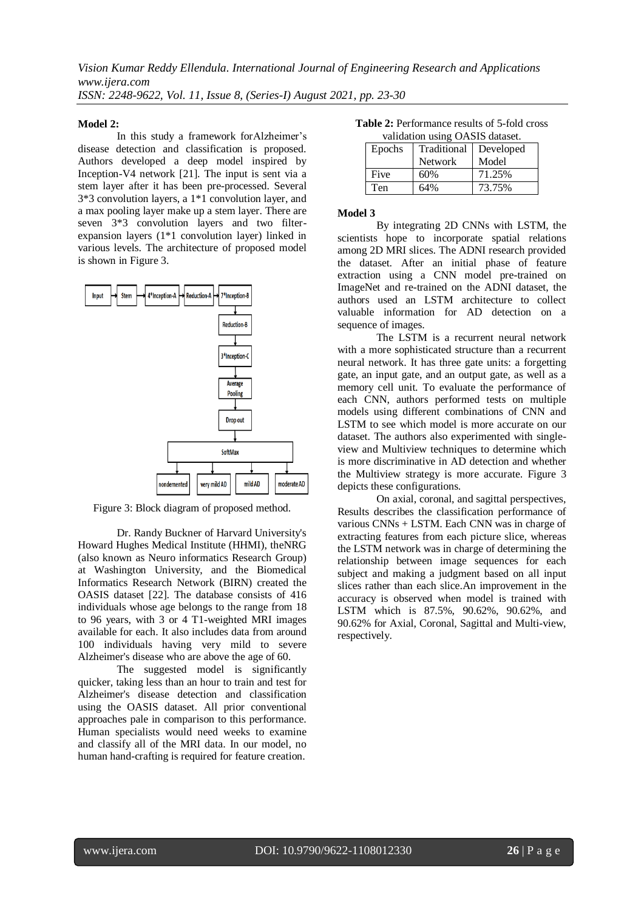## **Model 2:**

In this study a framework forAlzheimer's disease detection and classification is proposed. Authors developed a deep model inspired by Inception-V4 network [21]. The input is sent via a stem layer after it has been pre-processed. Several 3\*3 convolution layers, a 1\*1 convolution layer, and a max pooling layer make up a stem layer. There are seven 3\*3 convolution layers and two filterexpansion layers (1\*1 convolution layer) linked in various levels. The architecture of proposed model is shown in Figure 3.



Figure 3: Block diagram of proposed method.

Dr. Randy Buckner of Harvard University's Howard Hughes Medical Institute (HHMI), theNRG (also known as Neuro informatics Research Group) at Washington University, and the Biomedical Informatics Research Network (BIRN) created the OASIS dataset [22]. The database consists of 416 individuals whose age belongs to the range from 18 to 96 years, with 3 or 4 T1-weighted MRI images available for each. It also includes data from around 100 individuals having very mild to severe Alzheimer's disease who are above the age of 60.

The suggested model is significantly quicker, taking less than an hour to train and test for Alzheimer's disease detection and classification using the OASIS dataset. All prior conventional approaches pale in comparison to this performance. Human specialists would need weeks to examine and classify all of the MRI data. In our model, no human hand-crafting is required for feature creation.

|  |  | <b>Table 2:</b> Performance results of 5-fold cross |  |  |
|--|--|-----------------------------------------------------|--|--|
|  |  | $\ddot{\mathbf{u}}$                                 |  |  |

| validation using OASIS dataset. |                |           |  |
|---------------------------------|----------------|-----------|--|
| Epochs                          | Traditional    | Developed |  |
|                                 | <b>Network</b> | Model     |  |
| Five                            | 60%            | 71.25%    |  |
| Ten                             | 64%            | 73.75%    |  |

## **Model 3**

By integrating 2D CNNs with LSTM, the scientists hope to incorporate spatial relations among 2D MRI slices. The ADNI research provided the dataset. After an initial phase of feature extraction using a CNN model pre-trained on ImageNet and re-trained on the ADNI dataset, the authors used an LSTM architecture to collect valuable information for AD detection on a sequence of images.

The LSTM is a recurrent neural network with a more sophisticated structure than a recurrent neural network. It has three gate units: a forgetting gate, an input gate, and an output gate, as well as a memory cell unit. To evaluate the performance of each CNN, authors performed tests on multiple models using different combinations of CNN and LSTM to see which model is more accurate on our dataset. The authors also experimented with singleview and Multiview techniques to determine which is more discriminative in AD detection and whether the Multiview strategy is more accurate. Figure 3 depicts these configurations.

On axial, coronal, and sagittal perspectives, Results describes the classification performance of various CNNs + LSTM. Each CNN was in charge of extracting features from each picture slice, whereas the LSTM network was in charge of determining the relationship between image sequences for each subject and making a judgment based on all input slices rather than each slice.An improvement in the accuracy is observed when model is trained with LSTM which is 87.5%, 90.62%, 90.62%, and 90.62% for Axial, Coronal, Sagittal and Multi-view, respectively.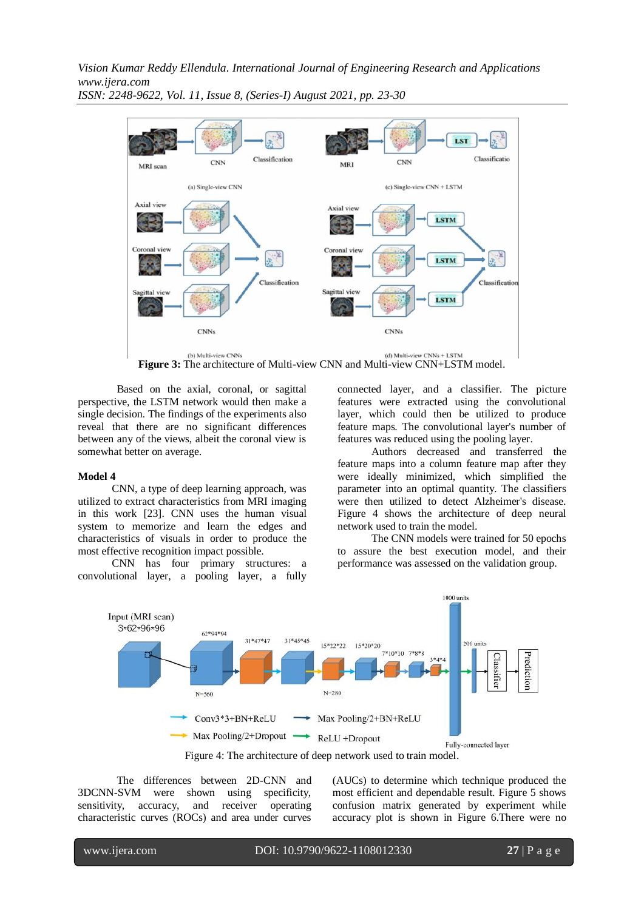*Vision Kumar Reddy Ellendula. International Journal of Engineering Research and Applications www.ijera.com*



*ISSN: 2248-9622, Vol. 11, Issue 8, (Series-I) August 2021, pp. 23-30*

Based on the axial, coronal, or sagittal perspective, the LSTM network would then make a single decision. The findings of the experiments also reveal that there are no significant differences between any of the views, albeit the coronal view is somewhat better on average.

#### **Model 4**

CNN, a type of deep learning approach, was utilized to extract characteristics from MRI imaging in this work [23]. CNN uses the human visual system to memorize and learn the edges and characteristics of visuals in order to produce the most effective recognition impact possible.

CNN has four primary structures: a convolutional layer, a pooling layer, a fully connected layer, and a classifier. The picture features were extracted using the convolutional layer, which could then be utilized to produce feature maps. The convolutional layer's number of features was reduced using the pooling layer.

Authors decreased and transferred the feature maps into a column feature map after they were ideally minimized, which simplified the parameter into an optimal quantity. The classifiers were then utilized to detect Alzheimer's disease. Figure 4 shows the architecture of deep neural network used to train the model.

The CNN models were trained for 50 epochs to assure the best execution model, and their performance was assessed on the validation group.



The differences between 2D-CNN and 3DCNN-SVM were shown using specificity, sensitivity, accuracy, and receiver operating characteristic curves (ROCs) and area under curves

(AUCs) to determine which technique produced the most efficient and dependable result. Figure 5 shows confusion matrix generated by experiment while accuracy plot is shown in Figure 6.There were no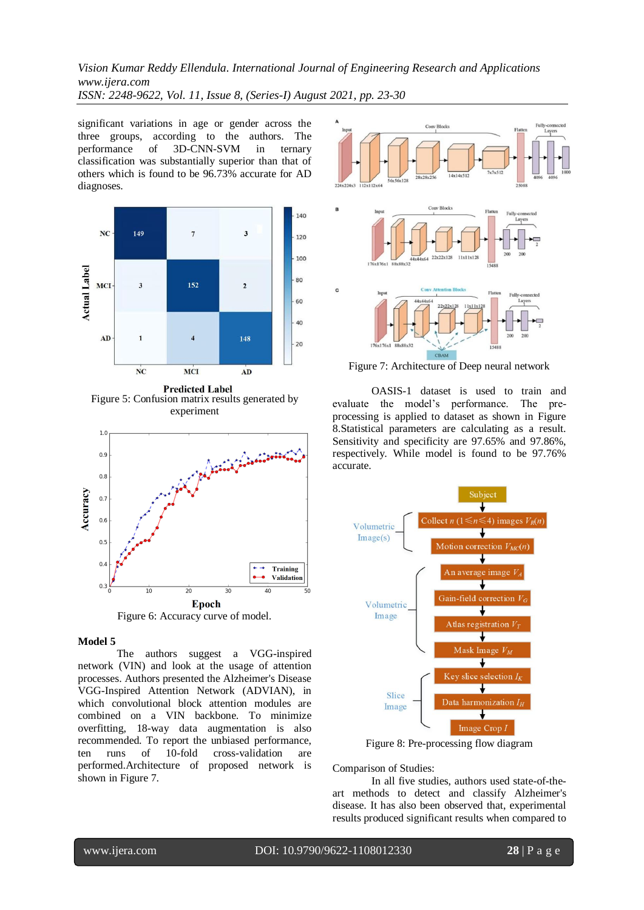*Vision Kumar Reddy Ellendula. International Journal of Engineering Research and Applications www.ijera.com ISSN: 2248-9622, Vol. 11, Issue 8, (Series-I) August 2021, pp. 23-30*

significant variations in age or gender across the three groups, according to the authors. The performance of 3D-CNN-SVM in ternary classification was substantially superior than that of others which is found to be 96.73% accurate for AD diagnoses.



**Predicted Label** Figure 5: Confusion matrix results generated by experiment



#### **Model 5**

The authors suggest a VGG-inspired network (VIN) and look at the usage of attention processes. Authors presented the Alzheimer's Disease VGG-Inspired Attention Network (ADVIAN), in which convolutional block attention modules are combined on a VIN backbone. To minimize overfitting, 18-way data augmentation is also recommended. To report the unbiased performance, ten runs of 10-fold cross-validation are performed.Architecture of proposed network is shown in Figure 7.



Figure 7: Architecture of Deep neural network

OASIS-1 dataset is used to train and evaluate the model's performance. The preprocessing is applied to dataset as shown in Figure 8.Statistical parameters are calculating as a result. Sensitivity and specificity are 97.65% and 97.86%, respectively. While model is found to be 97.76% accurate.



Figure 8: Pre-processing flow diagram

Comparison of Studies:

In all five studies, authors used state-of-theart methods to detect and classify Alzheimer's disease. It has also been observed that, experimental results produced significant results when compared to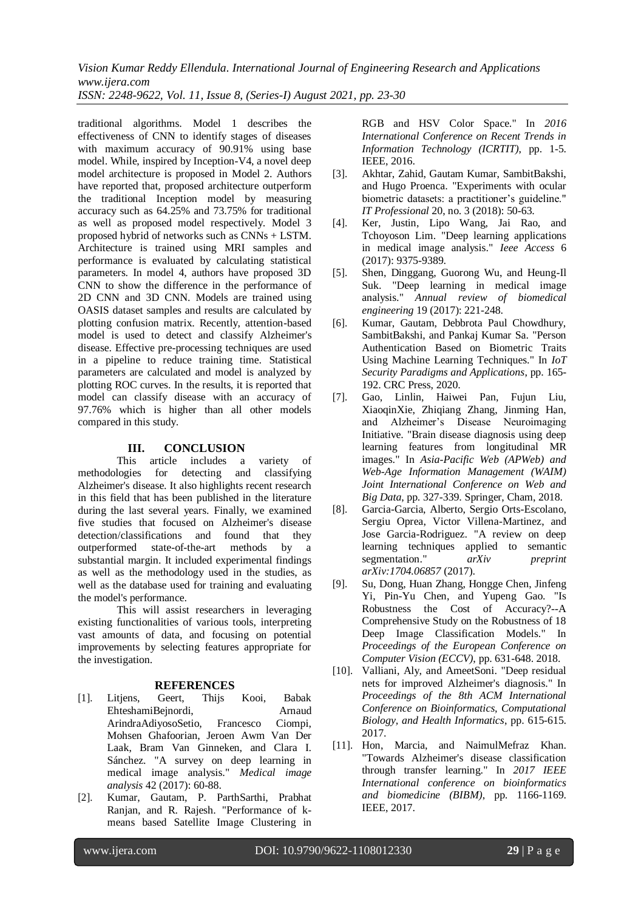*Vision Kumar Reddy Ellendula. International Journal of Engineering Research and Applications www.ijera.com*

*ISSN: 2248-9622, Vol. 11, Issue 8, (Series-I) August 2021, pp. 23-30*

traditional algorithms. Model 1 describes the effectiveness of CNN to identify stages of diseases with maximum accuracy of 90.91% using base model. While, inspired by Inception-V4, a novel deep model architecture is proposed in Model 2. Authors have reported that, proposed architecture outperform the traditional Inception model by measuring accuracy such as 64.25% and 73.75% for traditional as well as proposed model respectively. Model 3 proposed hybrid of networks such as CNNs + LSTM. Architecture is trained using MRI samples and performance is evaluated by calculating statistical parameters. In model 4, authors have proposed 3D CNN to show the difference in the performance of 2D CNN and 3D CNN. Models are trained using OASIS dataset samples and results are calculated by plotting confusion matrix. Recently, attention-based model is used to detect and classify Alzheimer's disease. Effective pre-processing techniques are used in a pipeline to reduce training time. Statistical parameters are calculated and model is analyzed by plotting ROC curves. In the results, it is reported that model can classify disease with an accuracy of 97.76% which is higher than all other models compared in this study.

# **III. CONCLUSION**

This article includes a variety of methodologies for detecting and classifying Alzheimer's disease. It also highlights recent research in this field that has been published in the literature during the last several years. Finally, we examined five studies that focused on Alzheimer's disease detection/classifications and found that they outperformed state-of-the-art methods by a substantial margin. It included experimental findings as well as the methodology used in the studies, as well as the database used for training and evaluating the model's performance.

This will assist researchers in leveraging existing functionalities of various tools, interpreting vast amounts of data, and focusing on potential improvements by selecting features appropriate for the investigation.

# **REFERENCES**

- [1]. Litjens, Geert, Thijs Kooi, Babak EhteshamiBejnordi, Arnaud ArindraAdiyosoSetio, Francesco Ciompi, Mohsen Ghafoorian, Jeroen Awm Van Der Laak, Bram Van Ginneken, and Clara I. Sánchez. "A survey on deep learning in medical image analysis." *Medical image analysis* 42 (2017): 60-88.
- [2]. Kumar, Gautam, P. ParthSarthi, Prabhat Ranjan, and R. Rajesh. "Performance of kmeans based Satellite Image Clustering in

RGB and HSV Color Space." In *2016 International Conference on Recent Trends in Information Technology (ICRTIT)*, pp. 1-5. IEEE, 2016.

- [3]. Akhtar, Zahid, Gautam Kumar, SambitBakshi, and Hugo Proenca. "Experiments with ocular biometric datasets: a practitioner's guideline." *IT Professional* 20, no. 3 (2018): 50-63.
- [4]. Ker, Justin, Lipo Wang, Jai Rao, and Tchoyoson Lim. "Deep learning applications in medical image analysis." *Ieee Access* 6 (2017): 9375-9389.
- [5]. Shen, Dinggang, Guorong Wu, and Heung-Il Suk. "Deep learning in medical image analysis." *Annual review of biomedical engineering* 19 (2017): 221-248.
- [6]. Kumar, Gautam, Debbrota Paul Chowdhury, SambitBakshi, and Pankaj Kumar Sa. "Person Authentication Based on Biometric Traits Using Machine Learning Techniques." In *IoT Security Paradigms and Applications*, pp. 165- 192. CRC Press, 2020.
- [7]. Gao, Linlin, Haiwei Pan, Fujun Liu, XiaoqinXie, Zhiqiang Zhang, Jinming Han, and Alzheimer's Disease Neuroimaging Initiative. "Brain disease diagnosis using deep learning features from longitudinal MR images." In *Asia-Pacific Web (APWeb) and Web-Age Information Management (WAIM) Joint International Conference on Web and Big Data*, pp. 327-339. Springer, Cham, 2018.
- [8]. Garcia-Garcia, Alberto, Sergio Orts-Escolano, Sergiu Oprea, Victor Villena-Martinez, and Jose Garcia-Rodriguez. "A review on deep learning techniques applied to semantic segmentation." *arXiv preprint arXiv:1704.06857* (2017).
- [9]. Su, Dong, Huan Zhang, Hongge Chen, Jinfeng Yi, Pin-Yu Chen, and Yupeng Gao. "Is Robustness the Cost of Accuracy?--A Comprehensive Study on the Robustness of 18 Deep Image Classification Models." In *Proceedings of the European Conference on Computer Vision (ECCV)*, pp. 631-648. 2018.
- [10]. Valliani, Aly, and AmeetSoni. "Deep residual nets for improved Alzheimer's diagnosis." In *Proceedings of the 8th ACM International Conference on Bioinformatics, Computational Biology, and Health Informatics*, pp. 615-615. 2017.
- [11]. Hon, Marcia, and NaimulMefraz Khan. "Towards Alzheimer's disease classification through transfer learning." In *2017 IEEE International conference on bioinformatics and biomedicine (BIBM)*, pp. 1166-1169. IEEE, 2017.